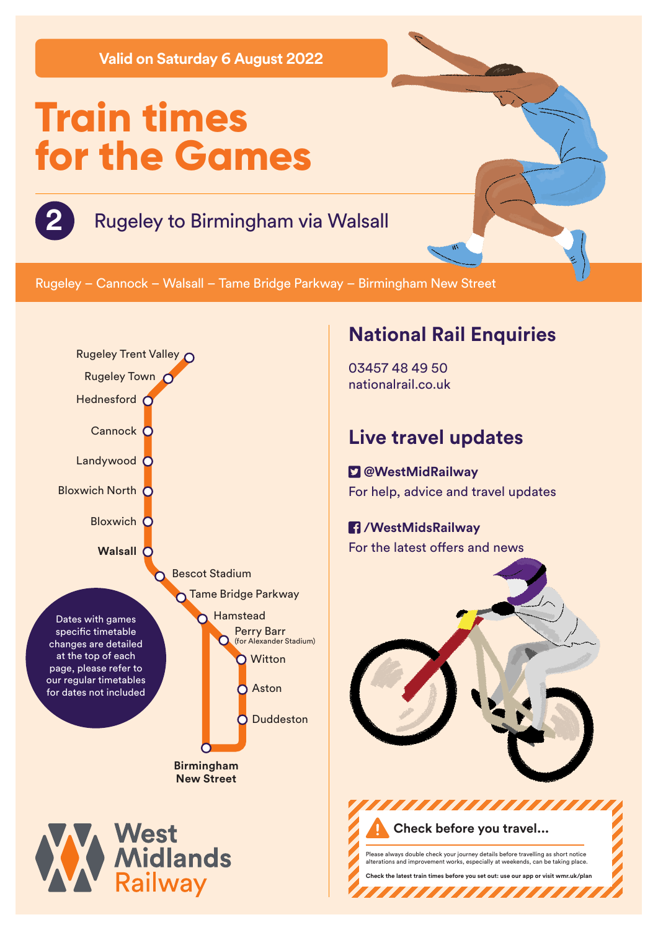**Valid on Saturday 6 August 2022**

# **Train times for the Games**

## **2** Rugeley to Birmingham via Walsall

Rugeley – Cannock – Walsall – Tame Bridge Parkway – Birmingham New Street



#### **National Rail Enquiries**

03457 48 49 50 nationalrail.co.uk

### **Live travel updates**

 **@WestMidRailway** For help, advice and travel updates

#### **/WestMidsRailway** For the latest offers and news



Please always double check your journey details before travelling as short notice alterations and improvement works, especially at weekends, can be taking place. **Check the latest train times before you set out: use our app or visit wmr.uk/plan** 

,,,,,,,,,,,,,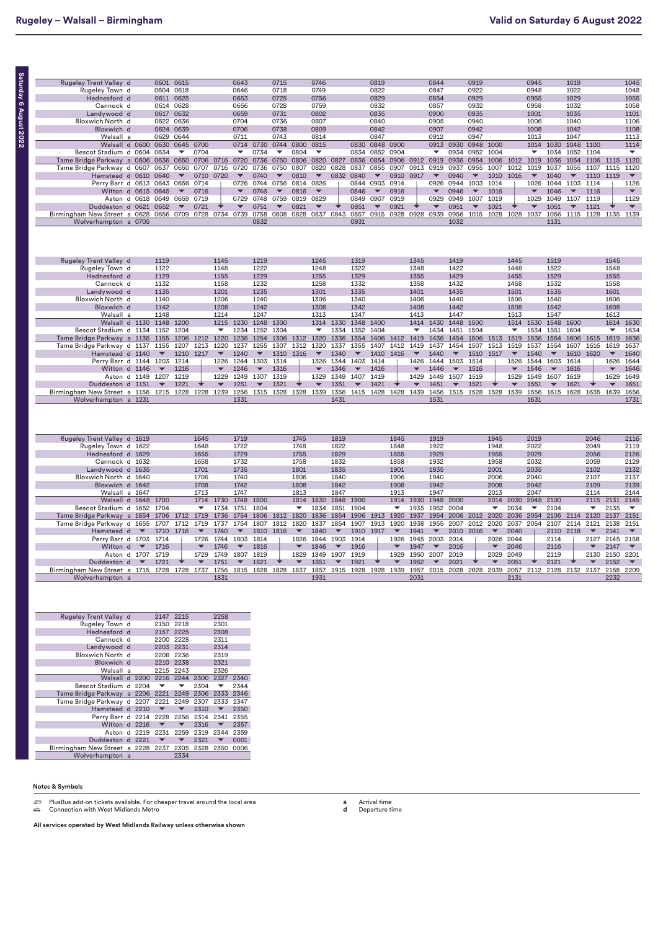| ľ      |
|--------|
| I      |
|        |
| l      |
| i      |
|        |
| თ      |
|        |
|        |
| ļ      |
| ľ      |
| É      |
|        |
|        |
|        |
|        |
| ī<br>5 |
|        |
|        |

ပ္သာ

| <b>Rugeley Trent Valley d</b>                    |                          | 0601                     | 0615                     |                          |                          | 0643                     |                          | 0715                     |                          | 0746                     |                          |                          | 0819                     |                          |                          | 0844                     |                                                   | 0919                     |                          |                          | 0945                     |                          | 1019                     |                          |                          | 1045                     |
|--------------------------------------------------|--------------------------|--------------------------|--------------------------|--------------------------|--------------------------|--------------------------|--------------------------|--------------------------|--------------------------|--------------------------|--------------------------|--------------------------|--------------------------|--------------------------|--------------------------|--------------------------|---------------------------------------------------|--------------------------|--------------------------|--------------------------|--------------------------|--------------------------|--------------------------|--------------------------|--------------------------|--------------------------|
| Rugeley Town d                                   |                          | 0604 0618                |                          |                          |                          | 0646                     |                          | 0718                     |                          | 0749                     |                          |                          | 0822                     |                          |                          | 0847                     |                                                   | 0922                     |                          |                          | 0948                     |                          | 1022                     |                          |                          | 1048                     |
| Hednesford d                                     |                          | 0611 0625                |                          |                          |                          | 0653                     |                          | 0725                     |                          | 0756                     |                          |                          | 0829                     |                          |                          | 0854                     |                                                   | 0929                     |                          |                          | 0955                     |                          | 1029                     |                          |                          | 1055                     |
| Cannock d                                        |                          | 0614                     | 0628                     |                          |                          | 0656                     |                          | 0728                     |                          | 0759                     |                          |                          | 0832                     |                          |                          | 0857                     |                                                   | 0932                     |                          |                          | 0958                     |                          | 1032                     |                          |                          | 1058                     |
| Landywood d                                      |                          | 0617                     | 0632                     |                          |                          | 0659                     |                          | 0731                     |                          | 0802                     |                          |                          | 0835                     |                          |                          | 0900                     |                                                   | 0935                     |                          |                          | 1001                     |                          | 1035                     |                          |                          | 1101                     |
|                                                  |                          |                          |                          |                          |                          |                          |                          |                          |                          |                          |                          |                          |                          |                          |                          |                          |                                                   |                          |                          |                          |                          |                          |                          |                          |                          |                          |
| Bloxwich North d                                 |                          | 0622                     | 0636                     |                          |                          | 0704                     |                          | 0736                     |                          | 0807                     |                          |                          | 0840                     |                          |                          | 0905                     |                                                   | 0940                     |                          |                          | 1006                     |                          | 1040                     |                          |                          | 1106                     |
| Bloxwich d                                       |                          | 0624                     | 0639                     |                          |                          | 0706                     |                          | 0738                     |                          | 0809                     |                          |                          | 0842                     |                          |                          | 0907                     |                                                   | 0942                     |                          |                          | 1008                     |                          | 1042                     |                          |                          | 1108                     |
| Walsall a                                        |                          | 0629                     | 0644                     |                          |                          | 0711                     |                          | 0743                     |                          | 0814                     |                          |                          | 0847                     |                          |                          | 0912                     |                                                   | 0947                     |                          |                          | 1013                     |                          | 1047                     |                          |                          | 1113                     |
| Walsall d 0600 0630                              |                          |                          | 0645 0700                |                          |                          |                          | 0714 0730                |                          | 0744 0800                | 0815                     |                          | 0830                     | 0848 0900                |                          |                          |                          | 0913 0930                                         | 0948 1000                |                          |                          |                          | 1014 1030                | 1048 1100                |                          |                          | 1114                     |
| Bescot Stadium d 0604 0634                       |                          |                          | ▼                        | 0704                     |                          | ▼                        | 0734                     | $\overline{\phantom{a}}$ | 0804                     | $\overline{\phantom{a}}$ |                          | 0834                     | 0852 0904                |                          |                          | $\overline{\phantom{a}}$ | 0934                                              | 0952 1004                |                          |                          | $\overline{\phantom{a}}$ | 1034                     | 1052 1104                |                          |                          | $\overline{\phantom{a}}$ |
| Tame Bridge Parkway a 0606 0636                  |                          |                          | 0650                     | 0706                     | 0716                     | 0720                     | 0736                     | 0750                     | 0806                     | 0820                     | 0827                     | 0836                     | 0854                     | 0906                     | 0912                     | 0919                     | 0936                                              | 0954                     | 1006                     | 1012                     | 1019                     | 1036                     | 1054                     | 1106 1115                |                          | 1120                     |
| Tame Bridge Parkway d 0607                       |                          | 0637                     | 0650                     | 0707                     | 0716                     | 0720                     | 0736                     | 0750                     | 0807                     | 0820                     | 0828                     | 0837                     | 0855                     | 0907                     | 0913                     | 0919                     | 0937                                              | 0955                     | 1007                     | 1012                     | 1019                     | 1037                     | 1055                     | 1107                     | 1115                     | 1120                     |
|                                                  |                          |                          |                          |                          |                          |                          |                          |                          |                          |                          |                          |                          |                          |                          |                          |                          |                                                   |                          |                          |                          |                          |                          |                          |                          |                          |                          |
| Hamstead d 0610 0640                             |                          |                          | $\overline{\phantom{a}}$ | 0710                     | 0720                     | $\blacktriangledown$     | 0740                     | $\overline{\phantom{a}}$ | 0810                     | $\blacktriangledown$     | 0832                     | 0840                     | $\overline{\phantom{a}}$ | 0910                     | 0917                     | $\overline{\phantom{0}}$ | 0940                                              | $\overline{\phantom{a}}$ | 1010                     | 1016                     | $\overline{\phantom{a}}$ | 1040                     | $\overline{\phantom{a}}$ | 1110                     | 1119                     | $\blacktriangledown$     |
| Perry Barr d 0613 0643 0656 0714                 |                          |                          |                          |                          |                          | 0726                     | 0744                     |                          | 0756 0814                | 0826                     |                          | 0844                     | 0903 0914                |                          |                          | 0926                     | 0944                                              | 1003                     | 1014                     |                          | 1026                     |                          | 1044 1103 1114           |                          |                          | 1126                     |
| Witton d 0615                                    |                          | 0645                     | $\blacktriangledown$     | 0716                     |                          | $\overline{\phantom{a}}$ | 0746                     | $\blacktriangledown$     | 0816                     | $\overline{\phantom{a}}$ |                          | 0846                     | $\blacktriangledown$     | 0916                     |                          | $\overline{\phantom{a}}$ | 0946                                              | $\overline{\phantom{a}}$ | 1016                     |                          | $\overline{\phantom{a}}$ | 1046                     | $\blacktriangledown$     | 1116                     |                          | $\blacktriangledown$     |
| Aston d 0618 0649 0659 0719                      |                          |                          |                          |                          |                          | 0729                     | 0748                     |                          | 0759 0819                | 0829                     |                          | 0849                     | 0907 0919                |                          |                          | 0929                     | 0949                                              | 1007                     | 1019                     |                          | 1029                     | 1049                     | 1107 1119                |                          |                          | 1129                     |
| Duddeston d 0621 0652                            |                          |                          | $\overline{\phantom{a}}$ | 0721                     |                          | $\overline{\phantom{a}}$ | 0751                     | $\blacktriangledown$     | 0821                     | $\blacktriangledown$     |                          | 0851                     | $\blacktriangledown$     | 0921                     |                          | $\overline{\phantom{a}}$ | 0951                                              | $\blacktriangledown$     | 1021                     |                          | $\overline{\phantom{a}}$ | 1051                     | $\blacktriangledown$     | 1121                     |                          | $\overline{\phantom{a}}$ |
| Birmingham New Street a 0628 0656 0709 0728      |                          |                          |                          |                          | 0734 0739                |                          | 0758 0808 0828           |                          |                          |                          | 0837 0843                | 0857                     |                          | 0915 0928                |                          | 0928 0939                | 0956 1015 1028 1028 1037 1056 1115 1128 1135 1139 |                          |                          |                          |                          |                          |                          |                          |                          |                          |
| Wolverhampton a 0705                             |                          |                          |                          |                          |                          |                          | 0832                     |                          |                          |                          |                          | 0931                     |                          |                          |                          |                          | 1032                                              |                          |                          |                          |                          | 1131                     |                          |                          |                          |                          |
|                                                  |                          |                          |                          |                          |                          |                          |                          |                          |                          |                          |                          |                          |                          |                          |                          |                          |                                                   |                          |                          |                          |                          |                          |                          |                          |                          |                          |
| Rugeley Trent Valley d<br>Rugeley Town d         |                          | 1119<br>1122             |                          |                          | 1145<br>1148             |                          | 1219<br>1222             |                          |                          | 1245<br>1248             |                          | 1319<br>1322             |                          |                          | 1345<br>1348             |                          | 1419<br>1422                                      |                          |                          | 1445<br>1448             |                          | 1519<br>1522             |                          |                          | 1545<br>1548             |                          |
| Hednesford d                                     |                          | 1129                     |                          |                          | 1155                     |                          | 1229                     |                          |                          | 1255                     |                          | 1329                     |                          |                          | 1355                     |                          | 1429                                              |                          |                          | 1455                     |                          | 1529                     |                          |                          | 1555                     |                          |
| Cannock d                                        |                          | 1132                     |                          |                          | 1158                     |                          | 1232                     |                          |                          | 1258                     |                          | 1332                     |                          |                          | 1358                     |                          | 1432                                              |                          |                          | 1458                     |                          | 1532                     |                          |                          | 1558                     |                          |
| Landywood d                                      |                          | 1135                     |                          |                          | 1201                     |                          | 1235                     |                          |                          | 1301                     |                          | 1335                     |                          |                          | 1401                     |                          | 1435                                              |                          |                          | 1501                     |                          | 1535                     |                          |                          | 1601                     |                          |
| Bloxwich North d                                 |                          | 1140                     |                          |                          | 1206                     |                          | 1240                     |                          |                          | 1306                     |                          | 1340                     |                          |                          | 1406                     |                          | 1440                                              |                          |                          | 1506                     |                          | 1540                     |                          |                          | 1606                     |                          |
| Bloxwich d                                       |                          | 1142                     |                          |                          | 1208                     |                          | 1242                     |                          |                          | 1308                     |                          | 1342                     |                          |                          | 1408                     |                          | 1442                                              |                          |                          | 1508                     |                          | 1542                     |                          |                          | 1608                     |                          |
| Walsall a                                        |                          | 1148                     |                          |                          | 1214                     |                          | 1247                     |                          |                          | 1313                     |                          | 1347                     |                          |                          | 1413                     |                          | 1447                                              |                          |                          | 1513                     |                          | 1547                     |                          |                          | 1613                     |                          |
|                                                  |                          |                          |                          |                          |                          |                          |                          |                          |                          |                          |                          |                          |                          |                          |                          |                          |                                                   |                          |                          |                          |                          |                          |                          |                          |                          |                          |
| Walsall d 1130                                   |                          | 1148                     | 1200                     |                          | 1215                     | 1230                     | 1248                     | 1300                     |                          | 1314                     | 1330                     | 1348                     | 1400                     |                          | 1414                     | 1430                     | 1448                                              | 1500                     |                          | 1514                     | 1530                     | 1548                     | 1600                     |                          | 1614                     | 1630                     |
| Bescot Stadium d 1134 1152                       |                          |                          | 1204                     |                          | $\overline{\phantom{a}}$ | 1234 1252                |                          | 1304                     |                          | $\overline{\phantom{a}}$ |                          | 1334 1352                | 1404                     |                          | $\overline{\phantom{a}}$ |                          | 1434 1451                                         | 1504                     |                          | $\overline{\phantom{a}}$ | 1534 1551                |                          | 1604                     |                          | $\overline{\phantom{a}}$ | 1634                     |
| Tame Bridge Parkway a 1136 1155                  |                          |                          | 1206 1212                |                          | 1220                     | 1236                     | 1254                     |                          | 1306 1312                | 1320                     | 1336                     | 1354                     |                          | 1406 1412                | 1419                     | 1436                     | 1454                                              | 1506 1513                |                          | 1519                     | 1536                     | 1554                     | 1606 1615                |                          | 1619                     | 1636                     |
| Tame Bridge Parkway d 1137                       |                          | 1155                     | 1207                     | 1213                     | 1220                     | 1237                     | 1255                     | 1307                     | 1312                     | 1320                     | 1337                     | 1355                     | 1407                     | 1412                     | 1419                     | 1437                     | 1454                                              | 1507                     | 1513                     | 1519                     | 1537                     | 1554                     | 1607                     | 1616                     | 1619                     | 1637                     |
| Hamstead d 1140                                  |                          | $\blacktriangledown$     | 1210                     | 1217                     | $\blacktriangledown$     | 1240                     | $\overline{\phantom{a}}$ | 1310                     | 1316                     | $\blacktriangledown$     | 1340                     | $\overline{\phantom{a}}$ | 1410                     | 1416                     | $\overline{\phantom{a}}$ | 1440                     | $\overline{\phantom{a}}$                          | 1510                     | 1517                     | $\blacktriangledown$     | 1540                     | $\overline{\phantom{a}}$ | 1610                     | 1620                     | $\overline{\phantom{a}}$ | 1640                     |
| Perry Barr d 1144 1203 1214                      |                          |                          |                          |                          | 1226                     | 1244 1303                |                          | 1314                     |                          | 1326                     |                          | 1344 1403                | 1414                     |                          | 1426                     | 1444 1503                |                                                   | 1514                     |                          | 1526                     | 1544 1603                |                          | 1614                     |                          | 1626                     | 1644                     |
| Witton d 1146                                    |                          |                          |                          |                          |                          |                          | $\blacktriangledown$     | 1316                     |                          | $\blacktriangledown$     |                          | $\overline{\phantom{a}}$ |                          |                          |                          |                          | $\overline{\phantom{a}}$                          |                          |                          | $\overline{\phantom{a}}$ | 1546                     | $\overline{\phantom{a}}$ |                          |                          | $\overline{\phantom{a}}$ |                          |
|                                                  |                          | $\overline{\phantom{a}}$ | 1216                     |                          |                          | 1246                     |                          |                          |                          |                          | 1346                     |                          | 1416                     |                          |                          | 1446                     |                                                   | 1516                     |                          |                          |                          |                          | 1616                     |                          |                          | 1646                     |
| Aston d 1149 1207                                |                          |                          | 1219                     |                          | 1229                     | 1249                     | 1307                     | 1319                     |                          | 1329                     | 1349                     | 1407                     | 1419                     |                          | 1429                     | 1449                     | 1507                                              | 1519                     |                          | 1529                     | 1549 1607                |                          | 1619                     |                          | 1629                     | 1649                     |
| Duddeston d 1151                                 |                          | $\blacktriangledown$     | 1221                     |                          | $\blacktriangledown$     | 1251                     | $\overline{\phantom{a}}$ | 1321                     |                          | $\overline{\phantom{a}}$ | 1351                     | $\overline{\phantom{a}}$ | 1421                     |                          | $\overline{\phantom{a}}$ | 1451                     | $\overline{\phantom{a}}$                          | 1521                     |                          | $\blacktriangledown$     | 1551                     | $\blacktriangledown$     | 1621                     |                          | $\overline{\phantom{a}}$ | 1651                     |
| Birmingham New Street a 1156 1215 1228 1228 1239 |                          |                          |                          |                          |                          |                          | 1256 1315 1328 1328 1339 |                          |                          |                          |                          | 1356 1415 1428 1428 1439 |                          |                          |                          |                          | 1456 1515 1528                                    |                          | 1528 1539                |                          | 1556 1615 1628 1635 1639 |                          |                          |                          |                          | 1656                     |
| Wolverhampton a 1231                             |                          |                          |                          |                          |                          | 1331                     |                          |                          |                          |                          | 1431                     |                          |                          |                          |                          | 1531                     |                                                   |                          |                          |                          | 1631                     |                          |                          |                          |                          | 1731                     |
| Rugeley Trent Valley d 1619                      |                          |                          |                          | 1645                     |                          | 1719                     |                          |                          | 1745                     |                          | 1819                     |                          |                          | 1845                     |                          | 1919                     |                                                   |                          | 1945                     |                          | 2019                     |                          |                          | 2046                     |                          | 2116                     |
| Rugeley Town d 1622                              |                          |                          |                          | 1648                     |                          | 1722                     |                          |                          | 1748                     |                          | 1822                     |                          |                          | 1848                     |                          | 1922                     |                                                   |                          | 1948                     |                          | 2022                     |                          |                          | 2049                     |                          | 2119                     |
| Hednesford d 1629                                |                          |                          |                          | 1655                     |                          | 1729                     |                          |                          | 1755                     |                          | 1829                     |                          |                          | 1855                     |                          | 1929                     |                                                   |                          | 1955                     |                          | 2029                     |                          |                          | 2056                     |                          | 2126                     |
| Cannock d 1632                                   |                          |                          |                          | 1658                     |                          | 1732                     |                          |                          | 1758                     |                          | 1832                     |                          |                          | 1858                     |                          | 1932                     |                                                   |                          | 1958                     |                          | 2032                     |                          |                          | 2059                     |                          | 2129                     |
|                                                  |                          |                          |                          | 1701                     |                          | 1735                     |                          |                          | 1801                     |                          | 1835                     |                          |                          | 1901                     |                          | 1935                     |                                                   |                          | 2001                     |                          | 2035                     |                          |                          | 2102                     |                          | 2132                     |
| Landywood d 1635                                 |                          |                          |                          |                          |                          |                          |                          |                          |                          |                          |                          |                          |                          |                          |                          |                          |                                                   |                          |                          |                          |                          |                          |                          |                          |                          |                          |
| Bloxwich North d 1640                            |                          |                          |                          | 1706                     |                          | 1740                     |                          |                          | 1806                     |                          | 1840                     |                          |                          | 1906                     |                          | 1940                     |                                                   |                          | 2006                     |                          | 2040                     |                          |                          | 2107                     |                          | 2137                     |
| Bloxwich d 1642                                  |                          |                          |                          | 1708                     |                          | 1742                     |                          |                          | 1808                     |                          | 1842                     |                          |                          | 1908                     |                          | 1942                     |                                                   |                          | 2008                     |                          | 2042                     |                          |                          | 2109                     |                          | 2139                     |
| Walsall a 1647                                   |                          |                          |                          | 1713                     |                          | 1747                     |                          |                          | 1813                     |                          | 1847                     |                          |                          | 1913                     |                          | 1947                     |                                                   |                          | 2013                     |                          | 2047                     |                          |                          | 2114                     |                          | 2144                     |
| Walsall d 1648 1700                              |                          |                          |                          | 1714                     | 1730                     | 1748                     | 1800                     |                          | 1814                     | 1830                     | 1848                     | 1900                     |                          | 1914                     | 1930                     | 1948 2000                |                                                   |                          | 2014                     | 2030                     | 2048                     | 2100                     |                          | 2115                     | 2131                     | 2145                     |
| Bescot Stadium d 1652 1704                       |                          |                          |                          | $\overline{\phantom{a}}$ | 1734                     | 1751                     | 1804                     |                          | $\overline{\phantom{a}}$ | 1834                     | 1851 1904                |                          |                          | $\overline{\phantom{a}}$ | 1935                     | 1952 2004                |                                                   |                          | $\overline{\phantom{a}}$ | 2034                     | $\overline{\phantom{a}}$ | 2104                     |                          | $\overline{\phantom{a}}$ | 2135                     | $\overline{\phantom{a}}$ |
| Tame Bridge Parkway a 1654                       |                          | 1706                     | 1712                     | 1719                     | 1736                     | 1754                     | 1806                     | 1812                     | 1820                     | 1836                     | 1854                     | 1906                     | 1913                     | 1920                     | 1937                     | 1954                     | 2006                                              | 2012                     | 2020                     | 2036                     | 2054                     | 2106                     | 2114                     | 2120                     | 2137                     | 2151                     |
|                                                  |                          |                          |                          |                          |                          |                          |                          |                          |                          |                          |                          |                          |                          |                          |                          |                          |                                                   |                          |                          |                          |                          |                          |                          |                          |                          |                          |
| Tame Bridge Parkway d 1655                       |                          | 1707                     | 1712                     | 1719                     | 1737                     | 1754                     | 1807                     | 1812                     | 1820                     | 1837                     | 1854                     | 1907                     | 1913                     | 1920                     | 1938                     | 1955                     | 2007                                              | 2012                     | 2020                     | 2037                     | 2054                     | 2107                     | 2114                     | 2121                     | 2138                     | 2151                     |
| Hamstead d $\blacktriangledown$                  |                          | 1710                     | 1716                     | $\overline{\phantom{0}}$ | 1740                     | $\overline{\phantom{a}}$ | 1810                     | 1816                     | $\blacktriangledown$     | 1840                     | $\overline{\phantom{0}}$ | 1910                     | 1917                     | $\overline{\phantom{a}}$ | 1941                     | $\overline{\phantom{a}}$ | 2010                                              | 2016                     | $\blacktriangledown$     | 2040                     |                          | 2110                     | 2118                     | $\blacktriangledown$     | 2141                     | $\overline{\phantom{a}}$ |
| Perry Barr d 1703                                |                          | 1714                     |                          | 1726                     | 1744                     | 1803                     | 1814                     |                          |                          | 1826 1844                | 1903                     | 1914                     |                          | 1926                     | 1945                     | 2003                     | 2014                                              |                          | 2026                     | 2044                     |                          | 2114                     |                          | 2127                     | 2145                     | 2158                     |
| Witton d                                         | $\overline{\phantom{a}}$ | 1716                     |                          | $\blacktriangledown$     | 1746                     | $\overline{\phantom{a}}$ | 1816                     |                          | $\overline{\phantom{a}}$ | 1846                     | $\overline{\phantom{0}}$ | 1916                     |                          | $\overline{\phantom{a}}$ | 1947                     | $\overline{\phantom{a}}$ | 2016                                              |                          | $\overline{\phantom{a}}$ | 2046                     |                          | 2116                     |                          | $\overline{\phantom{0}}$ | 2147                     | $\blacktriangledown$     |
| Aston d 1707 1719                                |                          |                          |                          | 1729                     | 1749                     | 1807                     | 1819                     |                          | 1829                     | 1849                     | 1907                     | 1919                     |                          | 1929                     | 1950                     | 2007                     | 2019                                              |                          | 2029                     | 2049                     |                          | 2119                     |                          | 2130                     | 2150                     | 2201                     |
| Duddeston d                                      | $\overline{\phantom{a}}$ | 1721                     |                          |                          | 1751                     | $\overline{\phantom{a}}$ | 1821                     |                          |                          | 1851                     | $\blacktriangledown$     | 1921                     |                          |                          | 1952                     | $\blacktriangledown$     | 2021                                              |                          |                          | 2051                     |                          | 2121                     |                          |                          | 2152                     | $\overline{\phantom{a}}$ |
| Birmingham New Street a 1715 1728                |                          |                          |                          |                          | 1728 1737 1756 1815 1828 |                          |                          |                          | 1828 1837 1857           |                          |                          | 1915 1928                |                          | 1928 1939                | 1957                     |                          | 2015 2028                                         | 2028 2039                |                          | 2057                     | 2112 2128                |                          | 2132 2137                |                          | 2158 2209                |                          |
| Wolverhampton a                                  |                          |                          |                          |                          | 1831                     |                          |                          |                          |                          | 1931                     |                          |                          |                          |                          | 2031                     |                          |                                                   |                          |                          | 2131                     |                          |                          |                          |                          | 2232                     |                          |
|                                                  |                          |                          |                          |                          |                          |                          |                          |                          |                          |                          |                          |                          |                          |                          |                          |                          |                                                   |                          |                          |                          |                          |                          |                          |                          |                          |                          |
|                                                  |                          |                          |                          |                          |                          |                          |                          |                          |                          |                          |                          |                          |                          |                          |                          |                          |                                                   |                          |                          |                          |                          |                          |                          |                          |                          |                          |

| Rugeley Trent Valley d     |   |      | 2147 | 2215 |      | 2258 |      |
|----------------------------|---|------|------|------|------|------|------|
| Rugeley Town d             |   |      | 2150 | 2218 |      | 2301 |      |
| Hednesford d               |   |      | 2157 | 2225 |      | 2308 |      |
| Cannock d                  |   |      | 2200 | 2228 |      | 2311 |      |
| Landywood d                |   |      | 2203 | 2231 |      | 2314 |      |
| Bloxwich North d           |   |      | 2208 | 2236 |      | 2319 |      |
| Bloxwich d                 |   |      | 2210 | 2238 |      | 2321 |      |
| Walsall a                  |   |      | 2215 | 2243 |      | 2326 |      |
| Walsall                    | d | 2200 | 2216 | 2244 | 2300 | 2327 | 2340 |
| Bescot Stadium d           |   | 2204 |      |      | 2304 |      | 2344 |
| Tame Bridge Parkway a      |   | 2206 | 2221 | 2249 | 2306 | 2333 | 2346 |
| Tame Bridge Parkway d 2207 |   |      | 2221 | 2249 | 2307 | 2333 | 2347 |
| Hamstead d                 |   | 2210 |      |      | 2310 |      | 2350 |
| Perry Barr d 2214          |   |      | 2228 | 2256 | 2314 | 2341 | 2355 |
| Witton d                   |   | 2216 |      |      | 2316 |      | 2357 |
| Aston d                    |   | 2219 | 2231 | 2259 | 2319 | 2344 | 2359 |
| Duddeston d                |   | 2221 |      |      | 2321 |      | 0001 |
| Birmingham New Street a    |   | 2228 | 2237 | 2305 | 2328 | 2350 | 0006 |
| Wolverhampton a            |   |      |      | 2334 |      |      |      |

**Notes & Symbols**

<del>يت</del> PlusBus add-on tickets available. For cheaper travel around the local area<br>ه **Connection with West Midlands Metro** 

**a** Arrival time **d** Departure time

**All services operated by West Midlands Railway unless otherwise shown**